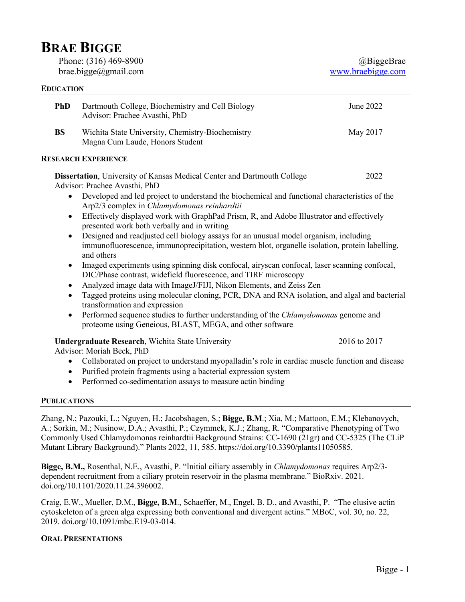# **BRAE BIGGE**

Phone: (316) 469-8900 brae.bigge@gmail.com

## **EDUCATION**

|                            | <b>PhD</b>                                                                                                               | Dartmouth College, Biochemistry and Cell Biology<br>Advisor: Prachee Avasthi, PhD                                                                                                                                                                                                       | June 2022 |  |
|----------------------------|--------------------------------------------------------------------------------------------------------------------------|-----------------------------------------------------------------------------------------------------------------------------------------------------------------------------------------------------------------------------------------------------------------------------------------|-----------|--|
|                            | <b>BS</b>                                                                                                                | Wichita State University, Chemistry-Biochemistry<br>Magna Cum Laude, Honors Student                                                                                                                                                                                                     | May 2017  |  |
| <b>RESEARCH EXPERIENCE</b> |                                                                                                                          |                                                                                                                                                                                                                                                                                         |           |  |
|                            | <b>Dissertation</b> , University of Kansas Medical Center and Dartmouth College<br>2022<br>Advisor: Prachee Avasthi, PhD |                                                                                                                                                                                                                                                                                         |           |  |
|                            |                                                                                                                          | Developed and led project to understand the biochemical and functional characteristics of the<br>Arp2/3 complex in Chlamydomonas reinhardtii<br>Effectively displayed work with GraphPad Prism, R, and Adobe Illustrator and effectively<br>presented work both verbally and in writing |           |  |
|                            |                                                                                                                          |                                                                                                                                                                                                                                                                                         |           |  |
|                            |                                                                                                                          | Designed and readjusted cell biology assays for an unusual model organism, including<br>immunofluorescence, immunoprecipitation, western blot, organelle isolation, protein labelling,<br>and others                                                                                    |           |  |
|                            |                                                                                                                          | Imaged experiments using spinning disk confocal, airyscan confocal, laser scanning confocal,<br>DIC/Phase contrast, widefield fluorescence, and TIRF microscopy                                                                                                                         |           |  |
|                            |                                                                                                                          | Analyzed image data with ImageJ/FIJI, Nikon Elements, and Zeiss Zen                                                                                                                                                                                                                     |           |  |
|                            |                                                                                                                          | Tagged proteins using molecular cloning, PCR, DNA and RNA isolation, and algal and bacterial<br>transformation and expression                                                                                                                                                           |           |  |
|                            |                                                                                                                          |                                                                                                                                                                                                                                                                                         |           |  |

• Performed sequence studies to further understanding of the *Chlamydomonas* genome and proteome using Geneious, BLAST, MEGA, and other software

## **Undergraduate Research**, Wichita State University 2016 to 2017

Advisor: Moriah Beck, PhD

- Collaborated on project to understand myopalladin's role in cardiac muscle function and disease
- Purified protein fragments using a bacterial expression system
- Performed co-sedimentation assays to measure actin binding

## **PUBLICATIONS**

Zhang, N.; Pazouki, L.; Nguyen, H.; Jacobshagen, S.; **Bigge, B.M**.; Xia, M.; Mattoon, E.M.; Klebanovych, A.; Sorkin, M.; Nusinow, D.A.; Avasthi, P.; Czymmek, K.J.; Zhang, R. "Comparative Phenotyping of Two Commonly Used Chlamydomonas reinhardtii Background Strains: CC-1690 (21gr) and CC-5325 (The CLiP Mutant Library Background)." Plants 2022, 11, 585. https://doi.org/10.3390/plants11050585.

**Bigge, B.M.,** Rosenthal, N.E., Avasthi, P. "Initial ciliary assembly in *Chlamydomonas* requires Arp2/3 dependent recruitment from a ciliary protein reservoir in the plasma membrane." BioRxiv. 2021. doi.org/10.1101/2020.11.24.396002.

Craig, E.W., Mueller, D.M., **Bigge, B.M**., Schaeffer, M., Engel, B. D., and Avasthi, P. "The elusive actin cytoskeleton of a green alga expressing both conventional and divergent actins." MBoC, vol. 30, no. 22, 2019. doi.org/10.1091/mbc.E19-03-014.

## **ORAL PRESENTATIONS**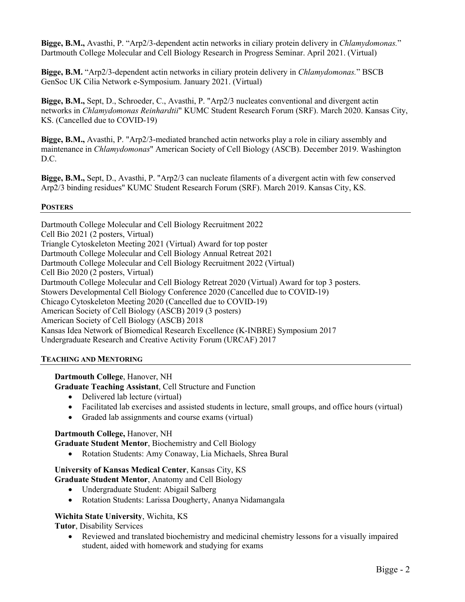**Bigge, B.M.,** Avasthi, P. "Arp2/3-dependent actin networks in ciliary protein delivery in *Chlamydomonas.*" Dartmouth College Molecular and Cell Biology Research in Progress Seminar. April 2021. (Virtual)

**Bigge, B.M.** "Arp2/3-dependent actin networks in ciliary protein delivery in *Chlamydomonas.*" BSCB GenSoc UK Cilia Network e-Symposium. January 2021. (Virtual)

**Bigge, B.M.,** Sept, D., Schroeder, C., Avasthi, P. "Arp2/3 nucleates conventional and divergent actin networks in *Chlamydomonas Reinhardtii*" KUMC Student Research Forum (SRF). March 2020. Kansas City, KS. (Cancelled due to COVID-19)

**Bigge, B.M.,** Avasthi, P. "Arp2/3-mediated branched actin networks play a role in ciliary assembly and maintenance in *Chlamydomonas*" American Society of Cell Biology (ASCB). December 2019. Washington D.C.

**Bigge, B.M.,** Sept, D., Avasthi, P. "Arp2/3 can nucleate filaments of a divergent actin with few conserved Arp2/3 binding residues" KUMC Student Research Forum (SRF). March 2019. Kansas City, KS.

## **POSTERS**

Dartmouth College Molecular and Cell Biology Recruitment 2022 Cell Bio 2021 (2 posters, Virtual) Triangle Cytoskeleton Meeting 2021 (Virtual) Award for top poster Dartmouth College Molecular and Cell Biology Annual Retreat 2021 Dartmouth College Molecular and Cell Biology Recruitment 2022 (Virtual) Cell Bio 2020 (2 posters, Virtual) Dartmouth College Molecular and Cell Biology Retreat 2020 (Virtual) Award for top 3 posters. Stowers Developmental Cell Biology Conference 2020 (Cancelled due to COVID-19) Chicago Cytoskeleton Meeting 2020 (Cancelled due to COVID-19) American Society of Cell Biology (ASCB) 2019 (3 posters) American Society of Cell Biology (ASCB) 2018 Kansas Idea Network of Biomedical Research Excellence (K-INBRE) Symposium 2017 Undergraduate Research and Creative Activity Forum (URCAF) 2017

## **TEACHING AND MENTORING**

## **Dartmouth College**, Hanover, NH

**Graduate Teaching Assistant**, Cell Structure and Function

- Delivered lab lecture (virtual)
- Facilitated lab exercises and assisted students in lecture, small groups, and office hours (virtual)
- Graded lab assignments and course exams (virtual)

## **Dartmouth College,** Hanover, NH

**Graduate Student Mentor**, Biochemistry and Cell Biology

• Rotation Students: Amy Conaway, Lia Michaels, Shrea Bural

## **University of Kansas Medical Center**, Kansas City, KS **Graduate Student Mentor**, Anatomy and Cell Biology

- Undergraduate Student: Abigail Salberg
- Rotation Students: Larissa Dougherty, Ananya Nidamangala

## **Wichita State University**, Wichita, KS

**Tutor**, Disability Services

• Reviewed and translated biochemistry and medicinal chemistry lessons for a visually impaired student, aided with homework and studying for exams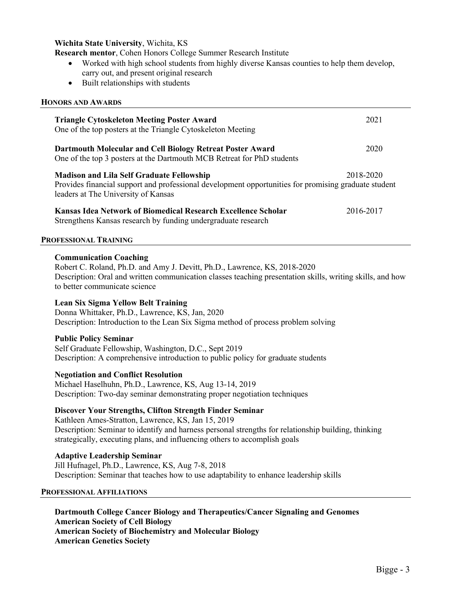## **Wichita State University**, Wichita, KS

**Research mentor**, Cohen Honors College Summer Research Institute

- Worked with high school students from highly diverse Kansas counties to help them develop, carry out, and present original research
- Built relationships with students

## **HONORS AND AWARDS**

| <b>Triangle Cytoskeleton Meeting Poster Award</b><br>One of the top posters at the Triangle Cytoskeleton Meeting                                                                                                                                                                                           | 2021      |  |  |  |
|------------------------------------------------------------------------------------------------------------------------------------------------------------------------------------------------------------------------------------------------------------------------------------------------------------|-----------|--|--|--|
| Dartmouth Molecular and Cell Biology Retreat Poster Award<br>One of the top 3 posters at the Dartmouth MCB Retreat for PhD students                                                                                                                                                                        | 2020      |  |  |  |
| <b>Madison and Lila Self Graduate Fellowship</b><br>Provides financial support and professional development opportunities for promising graduate student<br>leaders at The University of Kansas                                                                                                            | 2018-2020 |  |  |  |
| Kansas Idea Network of Biomedical Research Excellence Scholar<br>Strengthens Kansas research by funding undergraduate research                                                                                                                                                                             | 2016-2017 |  |  |  |
| PROFESSIONAL TRAINING                                                                                                                                                                                                                                                                                      |           |  |  |  |
| <b>Communication Coaching</b><br>Robert C. Roland, Ph.D. and Amy J. Devitt, Ph.D., Lawrence, KS, 2018-2020<br>Description: Oral and written communication classes teaching presentation skills, writing skills, and how<br>to better communicate science                                                   |           |  |  |  |
| <b>Lean Six Sigma Yellow Belt Training</b><br>Donna Whittaker, Ph.D., Lawrence, KS, Jan, 2020<br>Description: Introduction to the Lean Six Sigma method of process problem solving                                                                                                                         |           |  |  |  |
| <b>Public Policy Seminar</b><br>Self Graduate Fellowship, Washington, D.C., Sept 2019<br>Description: A comprehensive introduction to public policy for graduate students                                                                                                                                  |           |  |  |  |
| <b>Negotiation and Conflict Resolution</b><br>Michael Haselhuhn, Ph.D., Lawrence, KS, Aug 13-14, 2019<br>Description: Two-day seminar demonstrating proper negotiation techniques                                                                                                                          |           |  |  |  |
| <b>Discover Your Strengths, Clifton Strength Finder Seminar</b><br>Kathleen Ames-Stratton, Lawrence, KS, Jan 15, 2019<br>Description: Seminar to identify and harness personal strengths for relationship building, thinking<br>strategically, executing plans, and influencing others to accomplish goals |           |  |  |  |
| <b>Adaptive Leadership Seminar</b><br>Jill Hufnagel, Ph.D., Lawrence, KS, Aug 7-8, 2018<br>Description: Seminar that teaches how to use adaptability to enhance leadership skills                                                                                                                          |           |  |  |  |
| <b>PROFESSIONAL AFFILIATIONS</b>                                                                                                                                                                                                                                                                           |           |  |  |  |
| Dartmouth College Cancer Biology and Therapeutics/Cancer Signaling and Genomes                                                                                                                                                                                                                             |           |  |  |  |

**American Society of Cell Biology American Society of Biochemistry and Molecular Biology**

**American Genetics Society**